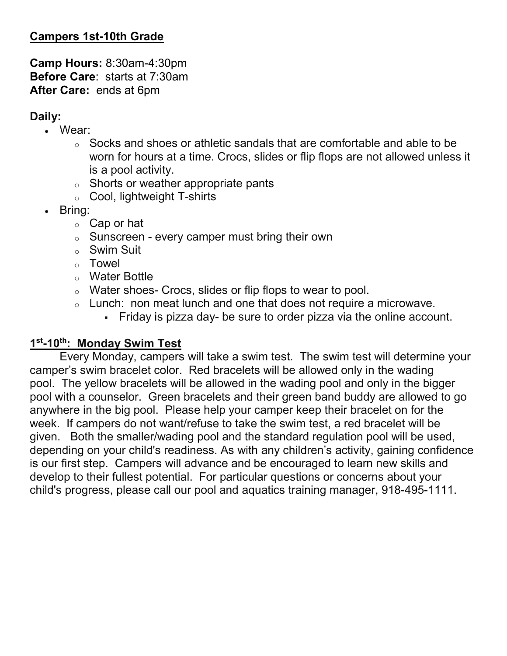# Campers 1st-10th Grade

Camp Hours: 8:30am-4:30pm Before Care: starts at 7:30am After Care: ends at 6pm

### Daily:

- Wear:
	- $\circ$  Socks and shoes or athletic sandals that are comfortable and able to be worn for hours at a time. Crocs, slides or flip flops are not allowed unless it is a pool activity.
	- o Shorts or weather appropriate pants
	- o Cool, lightweight T-shirts
- Bring:
	- o Cap or hat
	- $\circ$  Sunscreen every camper must bring their own
	- o Swim Suit
	- o Towel
	- o Water Bottle
	- o Water shoes- Crocs, slides or flip flops to wear to pool.
	- o Lunch: non meat lunch and one that does not require a microwave.
		- Friday is pizza day- be sure to order pizza via the online account.

#### 1<sup>st</sup>-10<sup>th</sup>: Monday Swim Test

Every Monday, campers will take a swim test. The swim test will determine your camper's swim bracelet color. Red bracelets will be allowed only in the wading pool. The yellow bracelets will be allowed in the wading pool and only in the bigger pool with a counselor. Green bracelets and their green band buddy are allowed to go anywhere in the big pool. Please help your camper keep their bracelet on for the week. If campers do not want/refuse to take the swim test, a red bracelet will be given. Both the smaller/wading pool and the standard regulation pool will be used, depending on your child's readiness. As with any children's activity, gaining confidence is our first step. Campers will advance and be encouraged to learn new skills and develop to their fullest potential. For particular questions or concerns about your child's progress, please call our pool and aquatics training manager, 918-495-1111.